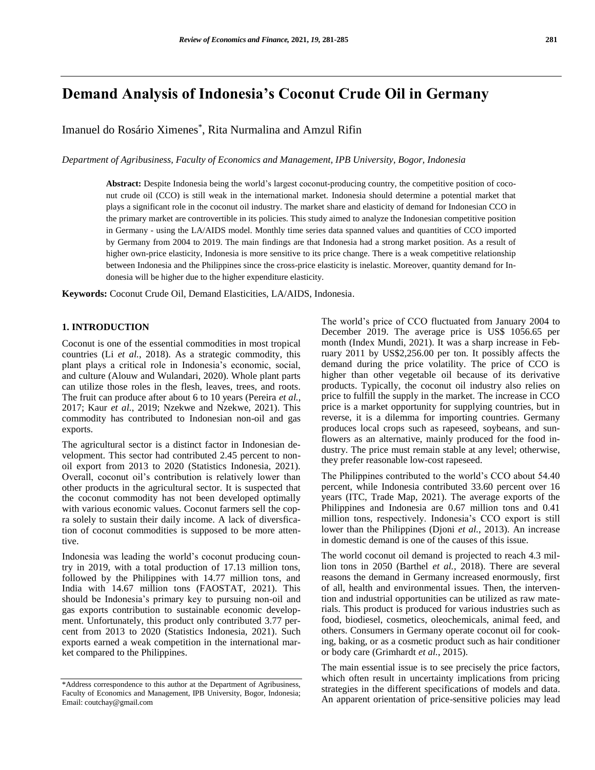# **Demand Analysis of Indonesia's Coconut Crude Oil in Germany**

Imanuel do Rosário Ximenes\* , Rita Nurmalina and Amzul Rifin

*Department of Agribusiness, Faculty of Economics and Management, IPB University, Bogor, Indonesia*

**Abstract:** Despite Indonesia being the world's largest coconut-producing country, the competitive position of coconut crude oil (CCO) is still weak in the international market. Indonesia should determine a potential market that plays a significant role in the coconut oil industry. The market share and elasticity of demand for Indonesian CCO in the primary market are controvertible in its policies. This study aimed to analyze the Indonesian competitive position in Germany - using the LA/AIDS model. Monthly time series data spanned values and quantities of CCO imported by Germany from 2004 to 2019. The main findings are that Indonesia had a strong market position. As a result of higher own-price elasticity, Indonesia is more sensitive to its price change. There is a weak competitive relationship between Indonesia and the Philippines since the cross-price elasticity is inelastic. Moreover, quantity demand for Indonesia will be higher due to the higher expenditure elasticity.

**Keywords:** Coconut Crude Oil, Demand Elasticities, LA/AIDS, Indonesia.

# **1. INTRODUCTION**

Coconut is one of the essential commodities in most tropical countries (Li *et al.*, 2018). As a strategic commodity, this plant plays a critical role in Indonesia's economic, social, and culture (Alouw and Wulandari, 2020). Whole plant parts can utilize those roles in the flesh, leaves, trees, and roots. The fruit can produce after about 6 to 10 years (Pereira *et al.*, 2017; Kaur *et al.*, 2019; Nzekwe and Nzekwe, 2021). This commodity has contributed to Indonesian non-oil and gas exports.

The agricultural sector is a distinct factor in Indonesian development. This sector had contributed 2.45 percent to nonoil export from 2013 to 2020 (Statistics Indonesia, 2021). Overall, coconut oil's contribution is relatively lower than other products in the agricultural sector. It is suspected that the coconut commodity has not been developed optimally with various economic values. Coconut farmers sell the copra solely to sustain their daily income. A lack of diversfication of coconut commodities is supposed to be more attentive.

Indonesia was leading the world's coconut producing country in 2019, with a total production of 17.13 million tons, followed by the Philippines with 14.77 million tons, and India with 14.67 million tons (FAOSTAT, 2021). This should be Indonesia's primary key to pursuing non-oil and gas exports contribution to sustainable economic development. Unfortunately, this product only contributed 3.77 percent from 2013 to 2020 (Statistics Indonesia, 2021). Such exports earned a weak competition in the international market compared to the Philippines.

The world's price of CCO fluctuated from January 2004 to December 2019. The average price is US\$ 1056.65 per month (Index Mundi, 2021). It was a sharp increase in February 2011 by US\$2,256.00 per ton. It possibly affects the demand during the price volatility. The price of CCO is higher than other vegetable oil because of its derivative products. Typically, the coconut oil industry also relies on price to fulfill the supply in the market. The increase in CCO price is a market opportunity for supplying countries, but in reverse, it is a dilemma for importing countries. Germany produces local crops such as rapeseed, soybeans, and sunflowers as an alternative, mainly produced for the food industry. The price must remain stable at any level; otherwise, they prefer reasonable low-cost rapeseed.

The Philippines contributed to the world's CCO about 54.40 percent, while Indonesia contributed 33.60 percent over 16 years (ITC, Trade Map, 2021). The average exports of the Philippines and Indonesia are 0.67 million tons and 0.41 million tons, respectively. Indonesia's CCO export is still lower than the Philippines (Djoni *et al.*, 2013). An increase in domestic demand is one of the causes of this issue.

The world coconut oil demand is projected to reach 4.3 million tons in 2050 (Barthel *et al.,* 2018). There are several reasons the demand in Germany increased enormously, first of all, health and environmental issues. Then, the intervention and industrial opportunities can be utilized as raw materials. This product is produced for various industries such as food, biodiesel, cosmetics, oleochemicals, animal feed, and others. Consumers in Germany operate coconut oil for cooking, baking, or as a cosmetic product such as hair conditioner or body care (Grimhardt *et al.*, 2015).

The main essential issue is to see precisely the price factors, which often result in uncertainty implications from pricing strategies in the different specifications of models and data. An apparent orientation of price-sensitive policies may lead

<sup>\*</sup>Address correspondence to this author at the Department of Agribusiness, Faculty of Economics and Management, IPB University, Bogor, Indonesia; Email: coutchay@gmail.com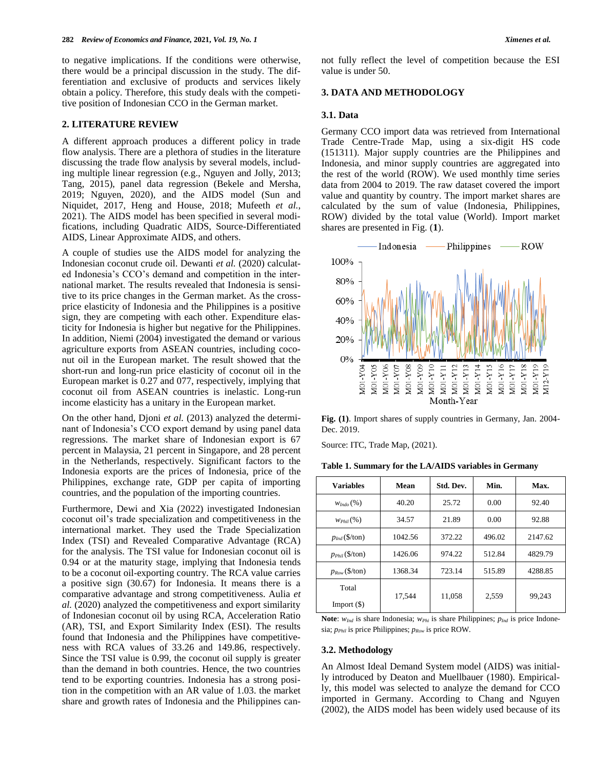to negative implications. If the conditions were otherwise, there would be a principal discussion in the study. The differentiation and exclusive of products and services likely obtain a policy. Therefore, this study deals with the competitive position of Indonesian CCO in the German market.

## **2. LITERATURE REVIEW**

A different approach produces a different policy in trade flow analysis. There are a plethora of studies in the literature discussing the trade flow analysis by several models, including multiple linear regression (e.g., Nguyen and Jolly, 2013; Tang, 2015), panel data regression (Bekele and Mersha, 2019; Nguyen, 2020), and the AIDS model (Sun and Niquidet, 2017, Heng and House, 2018; Mufeeth *et al.*, 2021). The AIDS model has been specified in several modifications, including Quadratic AIDS, Source-Differentiated AIDS, Linear Approximate AIDS, and others.

A couple of studies use the AIDS model for analyzing the Indonesian coconut crude oil. Dewanti *et al.* (2020) calculated Indonesia's CCO's demand and competition in the international market. The results revealed that Indonesia is sensitive to its price changes in the German market. As the crossprice elasticity of Indonesia and the Philippines is a positive sign, they are competing with each other. Expenditure elasticity for Indonesia is higher but negative for the Philippines. In addition, Niemi (2004) investigated the demand or various agriculture exports from ASEAN countries, including coconut oil in the European market. The result showed that the short-run and long-run price elasticity of coconut oil in the European market is 0.27 and 077, respectively, implying that coconut oil from ASEAN countries is inelastic. Long-run income elasticity has a unitary in the European market.

On the other hand, Djoni *et al.* (2013) analyzed the determinant of Indonesia's CCO export demand by using panel data regressions. The market share of Indonesian export is 67 percent in Malaysia, 21 percent in Singapore, and 28 percent in the Netherlands, respectively. Significant factors to the Indonesia exports are the prices of Indonesia, price of the Philippines, exchange rate, GDP per capita of importing countries, and the population of the importing countries.

Furthermore, Dewi and Xia (2022) investigated Indonesian coconut oil's trade specialization and competitiveness in the international market. They used the Trade Specialization Index (TSI) and Revealed Comparative Advantage (RCA) for the analysis. The TSI value for Indonesian coconut oil is 0.94 or at the maturity stage, implying that Indonesia tends to be a coconut oil-exporting country. The RCA value carries a positive sign (30.67) for Indonesia. It means there is a comparative advantage and strong competitiveness. Aulia *et al.* (2020) analyzed the competitiveness and export similarity of Indonesian coconut oil by using RCA, Acceleration Ratio (AR), TSI, and Export Similarity Index (ESI). The results found that Indonesia and the Philippines have competitiveness with RCA values of 33.26 and 149.86, respectively. Since the TSI value is 0.99, the coconut oil supply is greater than the demand in both countries. Hence, the two countries tend to be exporting countries. Indonesia has a strong position in the competition with an AR value of 1.03. the market share and growth rates of Indonesia and the Philippines cannot fully reflect the level of competition because the ESI value is under 50.

## **3. DATA AND METHODOLOGY**

#### **3.1. Data**

Germany CCO import data was retrieved from International Trade Centre-Trade Map, using a six-digit HS code (151311). Major supply countries are the Philippines and Indonesia, and minor supply countries are aggregated into the rest of the world (ROW). We used monthly time series data from 2004 to 2019. The raw dataset covered the import value and quantity by country. The import market shares are calculated by the sum of value (Indonesia, Philippines, ROW) divided by the total value (World). Import market shares are presented in Fig. (**1**).



**Fig. (1)**. Import shares of supply countries in Germany, Jan. 2004- Dec. 2019.

Source: ITC, Trade Map, (2021).

|  |  |  | Table 1. Summary for the LA/AIDS variables in Germany |  |  |  |  |  |  |  |
|--|--|--|-------------------------------------------------------|--|--|--|--|--|--|--|
|--|--|--|-------------------------------------------------------|--|--|--|--|--|--|--|

| <b>Variables</b>    | Mean    | Std. Dev. | Min.   | Max.    |
|---------------------|---------|-----------|--------|---------|
| $W_{hdo}($ %)       | 40.20   | 25.72     | 0.00   | 92.40   |
| $W_{Phil}(\%)$      | 34.57   | 21.89     | 0.00   | 92.88   |
| $p_{Ind}$ (\$/ton)  | 1042.56 | 372.22    | 496.02 | 2147.62 |
| $p_{Phil}$ (\$/ton) | 1426.06 | 974.22    | 512.84 | 4829.79 |
| $p_{Row}$ (\$/ton)  | 1368.34 | 723.14    | 515.89 | 4288.85 |
| Total<br>Import(S)  | 17,544  | 11,058    | 2,559  | 99.243  |

Note: *w*<sub>Ind</sub> is share Indonesia; *w*<sub>Phi</sub> is share Philippines; *p*<sub>Ind</sub> is price Indonesia; *pPhil* is price Philippines; *pRow* is price ROW.

### **3.2. Methodology**

An Almost Ideal Demand System model (AIDS) was initially introduced by Deaton and Muellbauer (1980). Empirically, this model was selected to analyze the demand for CCO imported in Germany. According to Chang and Nguyen (2002), the AIDS model has been widely used because of its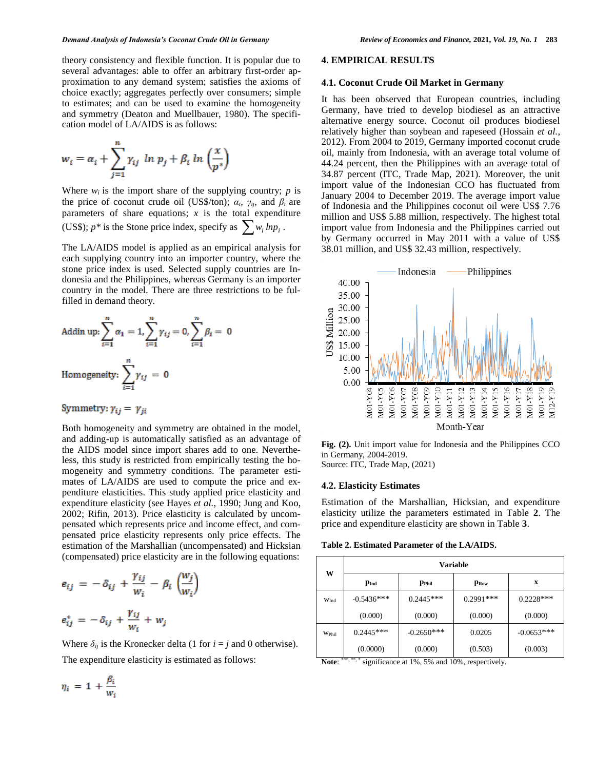theory consistency and flexible function. It is popular due to several advantages: able to offer an arbitrary first-order approximation to any demand system; satisfies the axioms of choice exactly; aggregates perfectly over consumers; simple to estimates; and can be used to examine the homogeneity and symmetry (Deaton and Muellbauer, 1980). The specification model of LA/AIDS is as follows:

$$
w_i = \alpha_i + \sum_{j=1}^n \gamma_{ij} \ln p_j + \beta_i \ln \left(\frac{x}{p^*}\right)
$$

Where  $w_i$  is the import share of the supplying country;  $p$  is the price of coconut crude oil (US\$/ton);  $\alpha_i$ ,  $\gamma_{ii}$ , and  $\beta_i$  are parameters of share equations;  $x$  is the total expenditure (US\$);  $p^*$  is the Stone price index, specify as  $\sum_{i} w_i \ln p_i$ .

The LA/AIDS model is applied as an empirical analysis for each supplying country into an importer country, where the stone price index is used. Selected supply countries are Indonesia and the Philippines, whereas Germany is an importer country in the model. There are three restrictions to be fulfilled in demand theory.

Addin up: 
$$
\sum_{i=1}^{n} \alpha_i = 1
$$
,  $\sum_{i=1}^{n} \gamma_{ij} = 0$ ,  $\sum_{i=1}^{n} \beta_i = 0$   
Homogeneity:  $\sum_{i=1}^{n} \gamma_{ij} = 0$ 

Symmetry:  $\gamma_{ij} = \gamma_{ji}$ 

Both homogeneity and symmetry are obtained in the model, and adding-up is automatically satisfied as an advantage of the AIDS model since import shares add to one. Nevertheless, this study is restricted from empirically testing the homogeneity and symmetry conditions. The parameter estimates of LA/AIDS are used to compute the price and expenditure elasticities. This study applied price elasticity and expenditure elasticity (see Hayes *et al.*, 1990; Jung and Koo, 2002; Rifin, 2013). Price elasticity is calculated by uncompensated which represents price and income effect, and compensated price elasticity represents only price effects. The estimation of the Marshallian (uncompensated) and Hicksian (compensated) price elasticity are in the following equations:

$$
e_{ij} = -\delta_{ij} + \frac{\gamma_{ij}}{w_i} - \beta_i \left(\frac{w_j}{w_i}\right)
$$

$$
e_{ij}^* = -\delta_{ij} + \frac{\gamma_{ij}}{w_i} + w_j
$$

Where  $\delta_{ij}$  is the Kronecker delta (1 for  $i = j$  and 0 otherwise). The expenditure elasticity is estimated as follows:

**4. EMPIRICAL RESULTS**

#### **4.1. Coconut Crude Oil Market in Germany**

It has been observed that European countries, including Germany, have tried to develop biodiesel as an attractive alternative energy source. Coconut oil produces biodiesel relatively higher than soybean and rapeseed (Hossain *et al.*, 2012). From 2004 to 2019, Germany imported coconut crude oil, mainly from Indonesia, with an average total volume of 44.24 percent, then the Philippines with an average total of 34.87 percent (ITC, Trade Map, 2021). Moreover, the unit import value of the Indonesian CCO has fluctuated from January 2004 to December 2019. The average import value of Indonesia and the Philippines coconut oil were US\$ 7.76 million and US\$ 5.88 million, respectively. The highest total import value from Indonesia and the Philippines carried out by Germany occurred in May 2011 with a value of US\$ 38.01 million, and US\$ 32.43 million, respectively.



**Fig. (2).** Unit import value for Indonesia and the Philippines CCO in Germany, 2004-2019.

Source: ITC, Trade Map, (2021)

### **4.2. Elasticity Estimates**

Estimation of the Marshallian, Hicksian, and expenditure elasticity utilize the parameters estimated in Table **2**. The price and expenditure elasticity are shown in Table **3**.

| W                | <b>Variable</b> |                   |                           |              |  |  |  |
|------------------|-----------------|-------------------|---------------------------|--------------|--|--|--|
|                  | $p_{Ind}$       | $p_{P\text{hil}}$ | $\mathbf{p}_{\text{Row}}$ | X            |  |  |  |
| W <sub>Ind</sub> | $-0.5436***$    | $0.2445***$       | $0.2991***$               | $0.2228***$  |  |  |  |
|                  | (0.000)         | (0.000)           | (0.000)                   | (0.000)      |  |  |  |
| WPhil            | $0.2445***$     | $-0.2650***$      | 0.0205                    | $-0.0653***$ |  |  |  |
|                  | (0.0000)        | (0.000)           | (0.503)                   | (0.003)      |  |  |  |

Note: \*\*\*,\*\*,\* significance at 1%, 5% and 10%, respectively.

$$
\eta_i = 1 + \frac{\beta_i}{w_i}
$$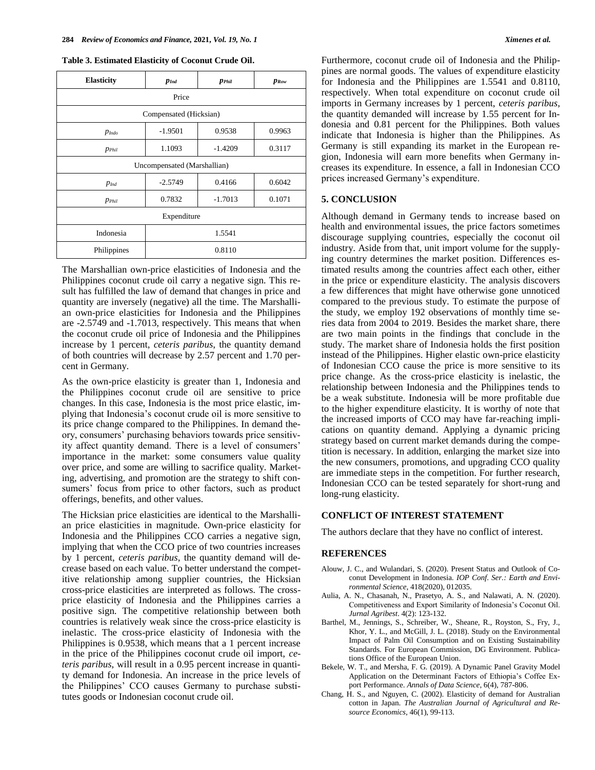#### **Table 3. Estimated Elasticity of Coconut Crude Oil.**

| <b>Elasticity</b>           | $p_{Ind}$ | <b>P</b> Phil | $p_{Row}$ |  |  |  |  |
|-----------------------------|-----------|---------------|-----------|--|--|--|--|
| Price                       |           |               |           |  |  |  |  |
| Compensated (Hicksian)      |           |               |           |  |  |  |  |
| $p_{Indo}$                  | $-1.9501$ | 0.9538        | 0.9963    |  |  |  |  |
| $p_{\text{Phil}}$           | 1.1093    | $-1.4209$     | 0.3117    |  |  |  |  |
| Uncompensated (Marshallian) |           |               |           |  |  |  |  |
| $p_{Ind}$                   | $-2.5749$ | 0.4166        | 0.6042    |  |  |  |  |
| $p_{\text{Phil}}$           | 0.7832    | $-1.7013$     | 0.1071    |  |  |  |  |
| Expenditure                 |           |               |           |  |  |  |  |
| Indonesia                   | 1.5541    |               |           |  |  |  |  |
| Philippines                 | 0.8110    |               |           |  |  |  |  |

The Marshallian own-price elasticities of Indonesia and the Philippines coconut crude oil carry a negative sign. This result has fulfilled the law of demand that changes in price and quantity are inversely (negative) all the time. The Marshallian own-price elasticities for Indonesia and the Philippines are -2.5749 and -1.7013, respectively. This means that when the coconut crude oil price of Indonesia and the Philippines increase by 1 percent, *ceteris paribus*, the quantity demand of both countries will decrease by 2.57 percent and 1.70 percent in Germany.

As the own-price elasticity is greater than 1, Indonesia and the Philippines coconut crude oil are sensitive to price changes. In this case, Indonesia is the most price elastic, implying that Indonesia's coconut crude oil is more sensitive to its price change compared to the Philippines. In demand theory, consumers' purchasing behaviors towards price sensitivity affect quantity demand. There is a level of consumers' importance in the market: some consumers value quality over price, and some are willing to sacrifice quality. Marketing, advertising, and promotion are the strategy to shift consumers' focus from price to other factors, such as product offerings, benefits, and other values.

The Hicksian price elasticities are identical to the Marshallian price elasticities in magnitude. Own-price elasticity for Indonesia and the Philippines CCO carries a negative sign, implying that when the CCO price of two countries increases by 1 percent, *ceteris paribus*, the quantity demand will decrease based on each value. To better understand the competitive relationship among supplier countries, the Hicksian cross-price elasticities are interpreted as follows. The crossprice elasticity of Indonesia and the Philippines carries a positive sign. The competitive relationship between both countries is relatively weak since the cross-price elasticity is inelastic. The cross-price elasticity of Indonesia with the Philippines is 0.9538, which means that a 1 percent increase in the price of the Philippines coconut crude oil import, *ceteris paribus*, will result in a 0.95 percent increase in quantity demand for Indonesia. An increase in the price levels of the Philippines' CCO causes Germany to purchase substitutes goods or Indonesian coconut crude oil.

Furthermore, coconut crude oil of Indonesia and the Philippines are normal goods. The values of expenditure elasticity for Indonesia and the Philippines are 1.5541 and 0.8110, respectively. When total expenditure on coconut crude oil imports in Germany increases by 1 percent, *ceteris paribus*, the quantity demanded will increase by 1.55 percent for Indonesia and 0.81 percent for the Philippines. Both values indicate that Indonesia is higher than the Philippines. As Germany is still expanding its market in the European region, Indonesia will earn more benefits when Germany increases its expenditure. In essence, a fall in Indonesian CCO prices increased Germany's expenditure.

#### **5. CONCLUSION**

Although demand in Germany tends to increase based on health and environmental issues, the price factors sometimes discourage supplying countries, especially the coconut oil industry. Aside from that, unit import volume for the supplying country determines the market position. Differences estimated results among the countries affect each other, either in the price or expenditure elasticity. The analysis discovers a few differences that might have otherwise gone unnoticed compared to the previous study. To estimate the purpose of the study, we employ 192 observations of monthly time series data from 2004 to 2019. Besides the market share, there are two main points in the findings that conclude in the study. The market share of Indonesia holds the first position instead of the Philippines. Higher elastic own-price elasticity of Indonesian CCO cause the price is more sensitive to its price change. As the cross-price elasticity is inelastic, the relationship between Indonesia and the Philippines tends to be a weak substitute. Indonesia will be more profitable due to the higher expenditure elasticity. It is worthy of note that the increased imports of CCO may have far-reaching implications on quantity demand. Applying a dynamic pricing strategy based on current market demands during the competition is necessary. In addition, enlarging the market size into the new consumers, promotions, and upgrading CCO quality are immediate steps in the competition. For further research, Indonesian CCO can be tested separately for short-rung and long-rung elasticity.

#### **CONFLICT OF INTEREST STATEMENT**

The authors declare that they have no conflict of interest.

#### **REFERENCES**

- Alouw, J. C., and Wulandari, S. (2020). Present Status and Outlook of Coconut Development in Indonesia. *IOP Conf. Ser.: Earth and Environmental Science*, 418(2020), 012035.
- Aulia, A. N., Chasanah, N., Prasetyo, A. S., and Nalawati, A. N. (2020). Competitiveness and Export Similarity of Indonesia's Coconut Oil. *Jurnal Agribest*. 4(2): 123-132.
- Barthel, M., Jennings, S., Schreiber, W., Sheane, R., Royston, S., Fry, J., Khor, Y. L., and McGill, J. L. (2018). Study on the Environmental Impact of Palm Oil Consumption and on Existing Sustainability Standards. For European Commission, DG Environment. Publications Office of the European Union.
- Bekele, W. T., and Mersha, F. G. (2019). A Dynamic Panel Gravity Model Application on the Determinant Factors of Ethiopia's Coffee Export Performance. *Annals of Data Science*, 6(4), 787-806.
- Chang, H. S., and Nguyen, C. (2002). Elasticity of demand for Australian cotton in Japan. *The Australian Journal of Agricultural and Resource Economics*, 46(1), 99-113.